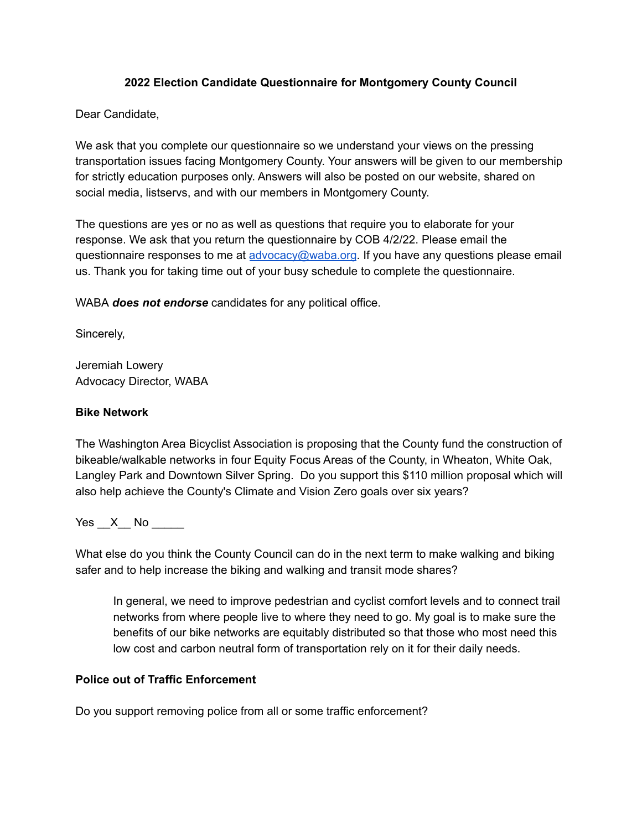### **2022 Election Candidate Questionnaire for Montgomery County Council**

Dear Candidate,

We ask that you complete our questionnaire so we understand your views on the pressing transportation issues facing Montgomery County. Your answers will be given to our membership for strictly education purposes only. Answers will also be posted on our website, shared on social media, listservs, and with our members in Montgomery County.

The questions are yes or no as well as questions that require you to elaborate for your response. We ask that you return the questionnaire by COB 4/2/22. Please email the questionnaire responses to me at [advocacy@waba.org](mailto:advocacy@waba.org). If you have any questions please email us. Thank you for taking time out of your busy schedule to complete the questionnaire.

WABA *does not endorse* candidates for any political office.

Sincerely,

Jeremiah Lowery Advocacy Director, WABA

### **Bike Network**

The Washington Area Bicyclist Association is proposing that the County fund the construction of bikeable/walkable networks in four Equity Focus Areas of the County, in Wheaton, White Oak, Langley Park and Downtown Silver Spring. Do you support this \$110 million proposal which will also help achieve the County's Climate and Vision Zero goals over six years?

 $Yes \quad X \quad No \quad \qquad$ 

What else do you think the County Council can do in the next term to make walking and biking safer and to help increase the biking and walking and transit mode shares?

In general, we need to improve pedestrian and cyclist comfort levels and to connect trail networks from where people live to where they need to go. My goal is to make sure the benefits of our bike networks are equitably distributed so that those who most need this low cost and carbon neutral form of transportation rely on it for their daily needs.

### **Police out of Traffic Enforcement**

Do you support removing police from all or some traffic enforcement?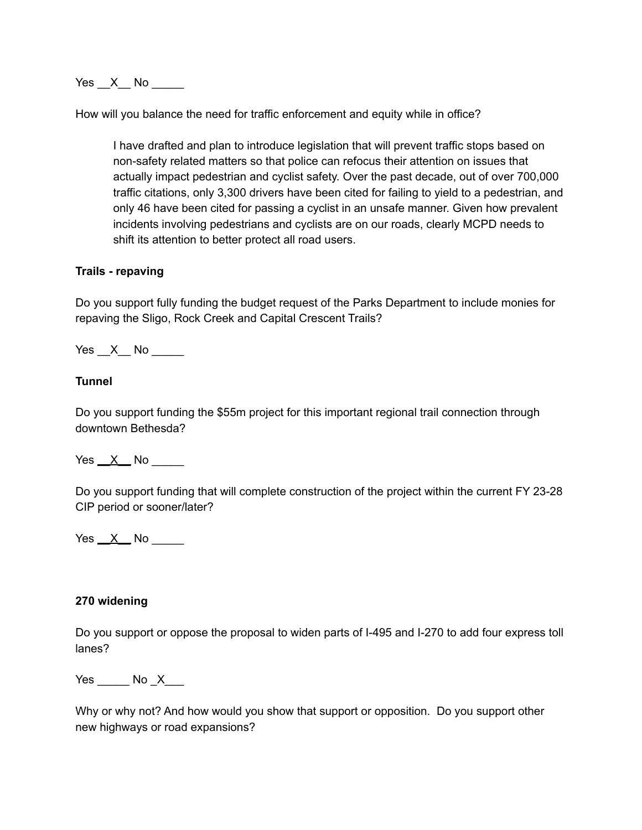$Yes \_ X \_ No \_$ 

How will you balance the need for traffic enforcement and equity while in office?

I have drafted and plan to introduce legislation that will prevent traffic stops based on non-safety related matters so that police can refocus their attention on issues that actually impact pedestrian and cyclist safety. Over the past decade, out of over 700,000 traffic citations, only 3,300 drivers have been cited for failing to yield to a pedestrian, and only 46 have been cited for passing a cyclist in an unsafe manner. Given how prevalent incidents involving pedestrians and cyclists are on our roads, clearly MCPD needs to shift its attention to better protect all road users.

#### **Trails - repaving**

Do you support fully funding the budget request of the Parks Department to include monies for repaving the Sligo, Rock Creek and Capital Crescent Trails?

Yes X No  $\blacksquare$ 

#### **Tunnel**

Do you support funding the \$55m project for this important regional trail connection through downtown Bethesda?

 $Yes \_ X \_ No \_$ 

Do you support funding that will complete construction of the project within the current FY 23-28 CIP period or sooner/later?

 $Yes \_ X \_ No \_$ 

#### **270 widening**

Do you support or oppose the proposal to widen parts of I-495 and I-270 to add four express toll lanes?

Yes No X

Why or why not? And how would you show that support or opposition. Do you support other new highways or road expansions?